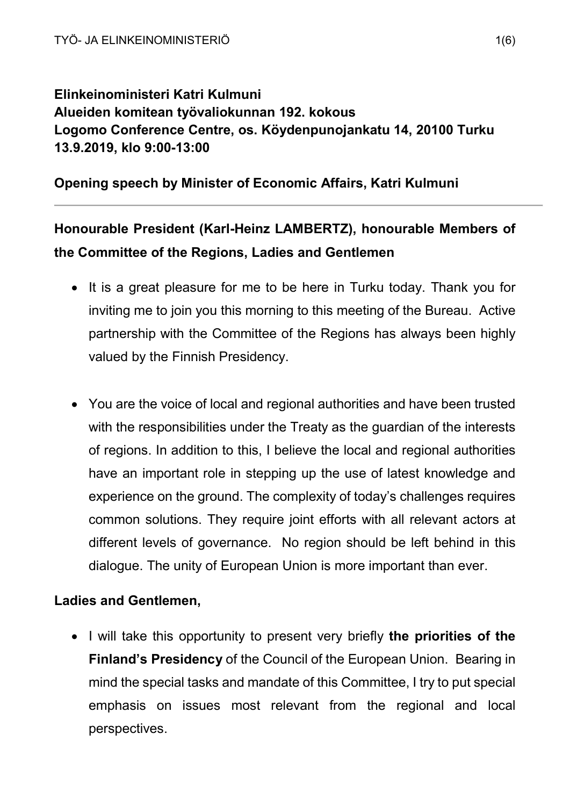# Elinkeinoministeri Katri Kulmuni Alueiden komitean työvaliokunnan 192. kokous Logomo Conference Centre, os. Köydenpunojankatu 14, 20100 Turku 13.9.2019, klo 9:00-13:00

## Opening speech by Minister of Economic Affairs, Katri Kulmuni

# Honourable President (Karl-Heinz LAMBERTZ), honourable Members of the Committee of the Regions, Ladies and Gentlemen

- It is a great pleasure for me to be here in Turku today. Thank you for inviting me to join you this morning to this meeting of the Bureau. Active partnership with the Committee of the Regions has always been highly valued by the Finnish Presidency.
- You are the voice of local and regional authorities and have been trusted with the responsibilities under the Treaty as the guardian of the interests of regions. In addition to this, I believe the local and regional authorities have an important role in stepping up the use of latest knowledge and experience on the ground. The complexity of today's challenges requires common solutions. They require joint efforts with all relevant actors at different levels of governance. No region should be left behind in this dialogue. The unity of European Union is more important than ever.

### Ladies and Gentlemen,

• I will take this opportunity to present very briefly the priorities of the Finland's Presidency of the Council of the European Union. Bearing in mind the special tasks and mandate of this Committee, I try to put special emphasis on issues most relevant from the regional and local perspectives.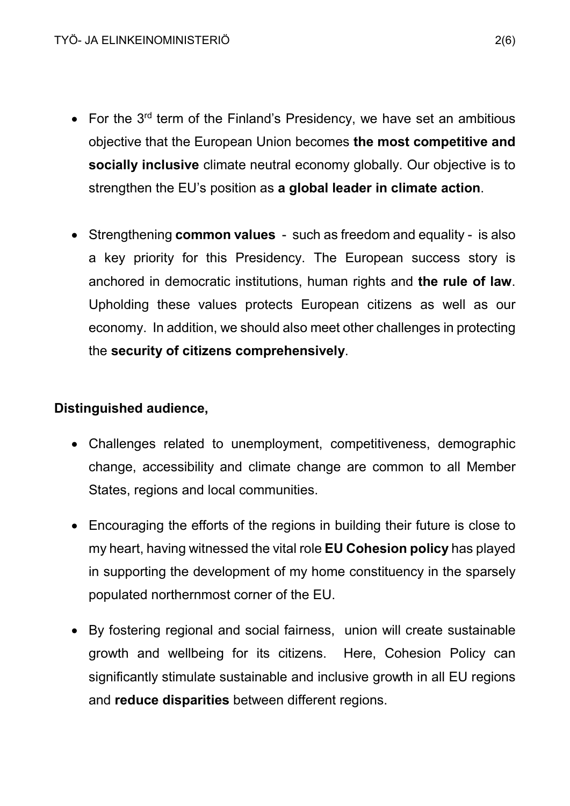- For the  $3^{rd}$  term of the Finland's Presidency, we have set an ambitious objective that the European Union becomes the most competitive and socially inclusive climate neutral economy globally. Our objective is to strengthen the EU's position as a global leader in climate action.
- Strengthening **common values** such as freedom and equality is also a key priority for this Presidency. The European success story is anchored in democratic institutions, human rights and the rule of law. Upholding these values protects European citizens as well as our economy. In addition, we should also meet other challenges in protecting the security of citizens comprehensively.

#### Distinguished audience,

- Challenges related to unemployment, competitiveness, demographic change, accessibility and climate change are common to all Member States, regions and local communities.
- Encouraging the efforts of the regions in building their future is close to my heart, having witnessed the vital role EU Cohesion policy has played in supporting the development of my home constituency in the sparsely populated northernmost corner of the EU.
- By fostering regional and social fairness, union will create sustainable growth and wellbeing for its citizens. Here, Cohesion Policy can significantly stimulate sustainable and inclusive growth in all EU regions and reduce disparities between different regions.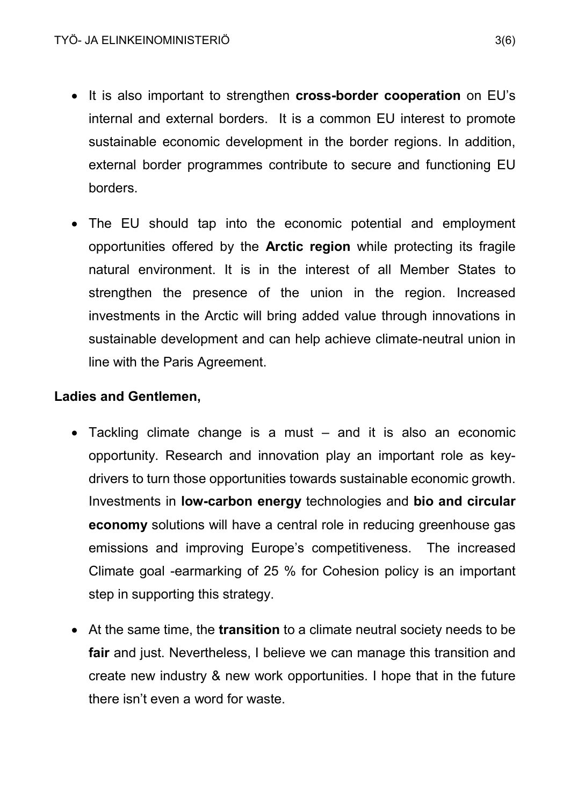- It is also important to strengthen **cross-border cooperation** on EU's internal and external borders. It is a common EU interest to promote sustainable economic development in the border regions. In addition, external border programmes contribute to secure and functioning EU borders.
- The EU should tap into the economic potential and employment opportunities offered by the Arctic region while protecting its fragile natural environment. It is in the interest of all Member States to strengthen the presence of the union in the region. Increased investments in the Arctic will bring added value through innovations in sustainable development and can help achieve climate-neutral union in line with the Paris Agreement.

#### Ladies and Gentlemen,

- Tackling climate change is a must and it is also an economic opportunity. Research and innovation play an important role as keydrivers to turn those opportunities towards sustainable economic growth. Investments in low-carbon energy technologies and bio and circular economy solutions will have a central role in reducing greenhouse gas emissions and improving Europe's competitiveness. The increased Climate goal -earmarking of 25 % for Cohesion policy is an important step in supporting this strategy.
- At the same time, the **transition** to a climate neutral society needs to be fair and just. Nevertheless, I believe we can manage this transition and create new industry & new work opportunities. I hope that in the future there isn't even a word for waste.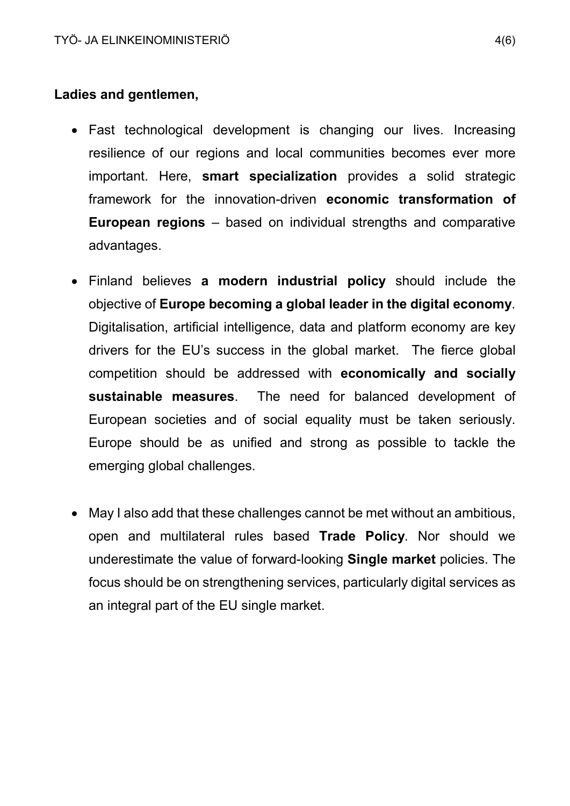#### Ladies and gentlemen,

- Fast technological development is changing our lives. Increasing resilience of our regions and local communities becomes ever more important. Here, smart specialization provides a solid strategic framework for the innovation-driven economic transformation of European regions – based on individual strengths and comparative advantages.
- Finland believes a modern industrial policy should include the objective of Europe becoming a global leader in the digital economy. Digitalisation, artificial intelligence, data and platform economy are key drivers for the EU's success in the global market. The fierce global competition should be addressed with economically and socially sustainable measures. The need for balanced development of European societies and of social equality must be taken seriously. Europe should be as unified and strong as possible to tackle the emerging global challenges.
- May I also add that these challenges cannot be met without an ambitious, open and multilateral rules based Trade Policy. Nor should we underestimate the value of forward-looking Single market policies. The focus should be on strengthening services, particularly digital services as an integral part of the EU single market.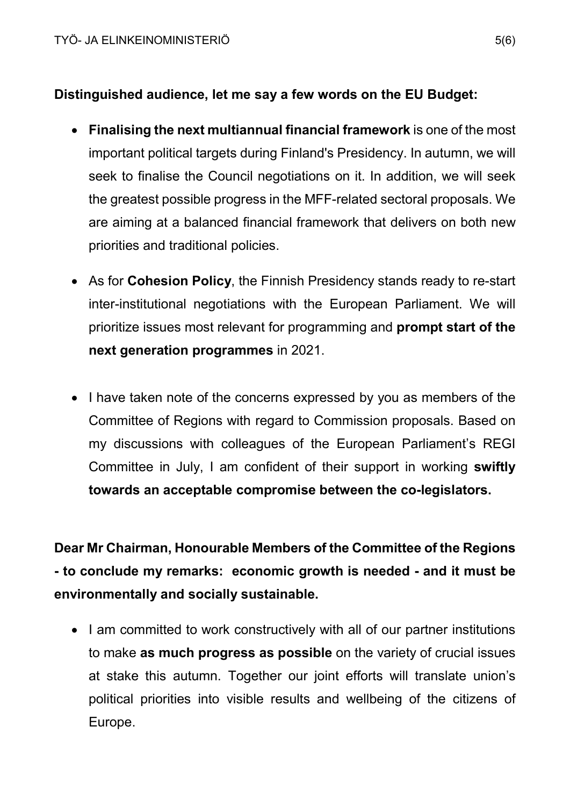### Distinguished audience, let me say a few words on the EU Budget:

- Finalising the next multiannual financial framework is one of the most important political targets during Finland's Presidency. In autumn, we will seek to finalise the Council negotiations on it. In addition, we will seek the greatest possible progress in the MFF-related sectoral proposals. We are aiming at a balanced financial framework that delivers on both new priorities and traditional policies.
- As for Cohesion Policy, the Finnish Presidency stands ready to re-start inter-institutional negotiations with the European Parliament. We will prioritize issues most relevant for programming and prompt start of the next generation programmes in 2021.
- I have taken note of the concerns expressed by you as members of the Committee of Regions with regard to Commission proposals. Based on my discussions with colleagues of the European Parliament's REGI Committee in July, I am confident of their support in working swiftly towards an acceptable compromise between the co-legislators.

Dear Mr Chairman, Honourable Members of the Committee of the Regions - to conclude my remarks: economic growth is needed - and it must be environmentally and socially sustainable.

• I am committed to work constructively with all of our partner institutions to make as much progress as possible on the variety of crucial issues at stake this autumn. Together our joint efforts will translate union's political priorities into visible results and wellbeing of the citizens of Europe.